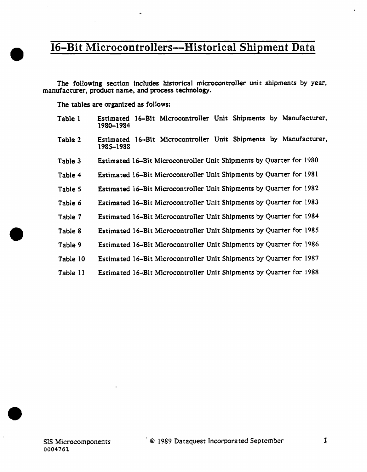The following section includes historical microcontroller unit shipments by year, manufacturer, product name, and process technology.

The tables are organized as follows:

| Table 1  | Estimated 16–Bit Microcontroller Unit Shipments by Manufacturer,<br>1980–1984    |
|----------|----------------------------------------------------------------------------------|
| Table 2  | 16-Bit Microcontroller Unit Shipments by Manufacturer,<br>Estimated<br>1985–1988 |
| Table 3  | Estimated 16-Bit Microcontroller Unit Shipments by Quarter for 1980              |
| Table 4  | Estimated 16-Bit Microcontroller Unit Shipments by Quarter for 1981              |
| Table 5  | Estimated 16-Bit Microcontroller Unit Shipments by Quarter for 1982              |
| Table 6  | Estimated 16-Bit Microcontroller Unit Shipments by Quarter for 1983              |
| Table 7  | Estimated 16-Bit Microcontroller Unit Shipments by Quarter for 1984              |
| Table 8  | Estimated 16-Bit Microcontroller Unit Shipments by Quarter for 1985              |
| Table 9  | Estimated 16–Bit Microcontroller Unit Shipments by Quarter for 1986              |
| Table 10 | Estimated 16-Bit Microcontroller Unit Shipments by Quarter for 1987              |
| Table 11 | Estimated 16-Bit Microcontroller Unit Shipments by Quarter for 1988              |

•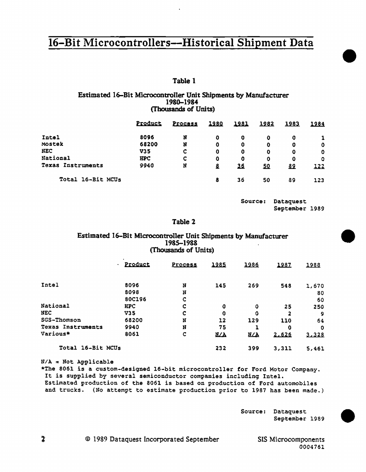### Table 1

#### Estimated 16-Bit Microcontroller Unit Shipments by Manufacturer 1980-1984 (Thousands of Units)

|                   | Product    |         |             |               | 1982 | 1983      |              |  |
|-------------------|------------|---------|-------------|---------------|------|-----------|--------------|--|
|                   |            | Process | 1980        | <u> 1981 </u> |      |           | <u> 1984</u> |  |
| Intel             | 8096       | N       | 0           | 0             | 0    | 0         |              |  |
| Mostek            | 68200      | N       | 0           | 0             | 0    | 0         | 0            |  |
| <b>NEC</b>        | V35        | c       | 0           | 0             | 0    | 0         | O            |  |
| National          | <b>HPC</b> | c       | $\mathbf 0$ | 0             | 0    | 0         | o            |  |
| Texas Instruments | 9940       | N       | ₫           | 36            | 50   | <u>89</u> | 122          |  |
| Total 16-Bit MCUs |            |         | 8           | 36            | 50   | 89        | 123          |  |

Source: Dataquest September 1989 •

•

•

### Table 2

#### Estimated 16-Bit Microcontroller Unit Shipments by Manufacturer 1985-1988 (Thousands of Units)

|                   | <b>Product</b><br>۰. | Process | 1985       | 1986       | 1987  | 1988  |
|-------------------|----------------------|---------|------------|------------|-------|-------|
| Intel             | 8096                 | N       | 145        | 269        | 548   | 1,670 |
|                   | 8098                 | N       |            |            |       | 80    |
|                   | 80C196               | c       |            |            |       | 60    |
| National          | <b>HPC</b>           | c       | o          | 0          | 25    | 250   |
| <b>NEC</b>        | V35                  | C       | 0          | 0          | 2     | 9     |
| SGS-Thomson       | 68200                | N       | 12         | 129        | 110   | 64    |
| Texas Instruments | 9940                 | N       | 75         |            | Ω     | 0     |
| Various*          | 8061                 | C       | <b>N/A</b> | <b>N/A</b> | 2.626 | 3.328 |
| Total 16-Bit MCUs |                      |         | 232        | 399        | 3,311 | 5,461 |

 $N/A = Not Application$ 

\*The 8061 is a custom-designed 16-bit microcontroller for Ford Motor Company. It is supplied by several semiconductor companies including Intel. Estimated production of the 8061 is based on production of Ford automobiles and trucks. (No attempt to estimate production prior to 1987 has been made.)

> Source: Dataquest September 1989



© 1989 Dataquest Incorporated September

Ť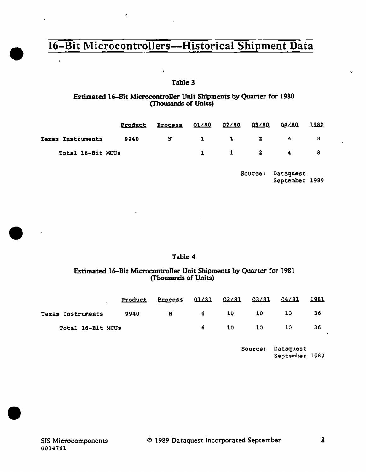ý

 $\hat{\mathcal{H}}$ 

### Table 3

#### Estimated 16-Bit Microcontroller Unit Shipments by Quarter for 1980 (Thousands of Units)

|                   | Product | Process 01/80 02/80 |  | 03/80               | 04/80    | 1980 |
|-------------------|---------|---------------------|--|---------------------|----------|------|
| Texas Instruments | 9940    | N                   |  | $1 \quad 1 \quad 2$ | $\sim$ 4 |      |
| Total 16-Bit MCUs |         |                     |  | $1 \t 2$            | -4       |      |

Source: Dataquest September 1989

### Table 4

### Estimated 16-Bit Microcontroller Unit Shipments by Quarter for 1981 (Thousands of Units)

|                   | <u>Product</u> | <u>Process</u> |   |     |    |     |    |
|-------------------|----------------|----------------|---|-----|----|-----|----|
| Texas Instruments | 9940           | N              | 6 | 10. | 10 | 10. | 36 |
| Total 16-Bit MCUs |                |                |   | 10. | 10 | 10  | 36 |

Source: Dataquest September 1989

•

ř.

•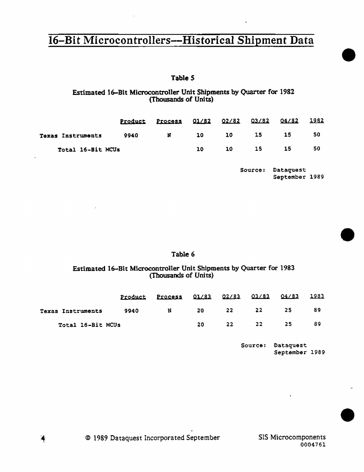## Table 5

#### Estimated 16-Bit Microcontroller Unit Shipments by Quarter for 1982 (Thousands of Units)

|                          | Product | Process 01/82 02/82 03/82 04/82 |    |    |    |    | 1982 |
|--------------------------|---------|---------------------------------|----|----|----|----|------|
| <b>Texas Instruments</b> | 9940    | N                               | 10 | 10 | 15 | 15 | 50   |
| Total 16-Bit MCUs        |         |                                 | 10 | 10 | 15 | 15 | 50   |

Source: Dataquest September 1989

#### Table 6

#### Estimated 16-Bit Microcontroller Unit Shipments by Quarter for 1983 (Thousands of Units)

|                   | Product | <b>Process</b> | Q1/83 | 02/83 | 03/83 04/83 |    | 1983 |
|-------------------|---------|----------------|-------|-------|-------------|----|------|
| Texas Instruments | 9940    | N              | 20    | 22    | 22          | 25 | 89   |
| Total 16-Bit MCUs |         |                | 20    | 22    | 22          | 25 | 89   |

Source: Dataquest September 1989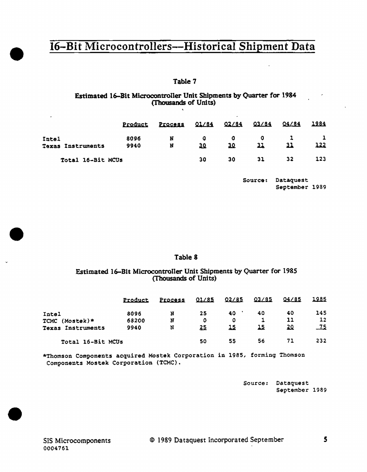### Table 7

### Estimated 16-Bit Microcontroller Unit Shipments by Quarter for 1984 (Thousands of Units)

|                                   | Product      | Process | 01/84   | $\cdot$<br>02/84 | 03/84 | 04/84 | 1984        |
|-----------------------------------|--------------|---------|---------|------------------|-------|-------|-------------|
| Intel<br><b>Texas Instruments</b> | 8096<br>9940 | N<br>N  | o<br>30 | o<br>30.         | 11    |       | <u> 122</u> |
| Total 16-Bit MCUs                 |              |         | 30      | 30               | 31    | 32    | 123         |

Source: Dataquest September 1989

#### Table 8

#### Estimated 16-Bit Microcontroller Unit Shipments by Quarter for 1985 (Thousands of Units)

|                      | Product | Process | 01/85     | 02/85 | 03/85 | 04/85 | 1985       |
|----------------------|---------|---------|-----------|-------|-------|-------|------------|
| Intel                | 8096    | N       | 25        | 40    | 40    | 40    | 145        |
| $TCMC (Mostek)*$     | 68200   | N       | o         | 0     |       | 11    | 12         |
| Instruments<br>Texas | 9940    | N       | <u>25</u> | 15    | 15    | 20    | <u>_75</u> |
| Total 16-Bit MCUs    |         |         | 50        | 55    | 56    | 71    | 232        |

\*Thomson Components acquired Mostek Corporation in 1985, forming Thomson Components Mostek Corporation (TCMC).

> Source: Dataquest September 1989

•

•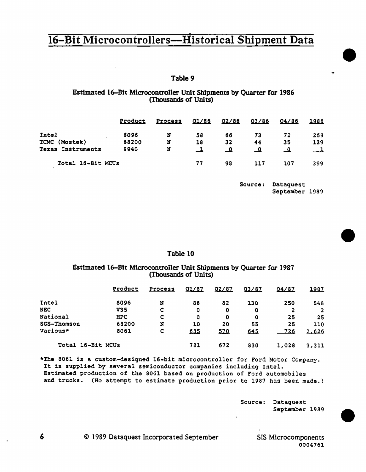#### Table 9

#### Estimated 16-Bit Microcontroller Unit Shipments by Quarter for 1986 (Thousands of Units)

|                          | Product | Process | 01/86 | 02/86 | 03/86     | 04/86     | 1986 |
|--------------------------|---------|---------|-------|-------|-----------|-----------|------|
| Intel                    | 8096    | N       | 58    | 66    | 73        | 72        | 269  |
| TCMC (Mostek)            | 68200   | N       | 18    | 32    | 44        | 35        | 129  |
| <b>Texas Instruments</b> | 9940    | N       |       | _0    | <u>_o</u> | <u>_0</u> | ᅠ    |
| Total 16-Bit MCUs        |         |         | 77    | 98    | 117       | 107       | 399  |

Source: Dataquest September 1989 •

•

•

#### Table 10

#### Estimated 16-Bit Microcontroller Unit Shipments by Quarter for 1987 (Thousands of Units)

|                    | Product    | <b>Process</b> | 01/87 | 02/87 | 03/87 | 04/87      | <u> 1987 </u> |
|--------------------|------------|----------------|-------|-------|-------|------------|---------------|
| Intel              | 8096       | N              | 86    | 82    | 130   | 250        | 548           |
| <b>NEC</b>         | V35        | c              | 0     | 0     | 0     | 2          | 2             |
| National           | <b>HPC</b> | c              | 0     | 0     | 0     | 25         | 25            |
| <b>SGS-Thomson</b> | 68200      | N              | 10    | 20    | 55    | 25         | 110           |
| Various*           | 8061       | c              | 6.8.5 | 570   | 645   | <u>726</u> | 2,626         |
| Total 16-Bit MCUs  |            |                | 781   | 672   | 830   | 1,028      | 3,311         |

\*The 8061 is a custom-designed 16-bit microcontroller for Ford Motor Company. It is supplied by several semiconductor companies including Intel. Estimated production of the 8061 based on production of Ford automobiles and trucks. (No attempt to estimate production prior to 1987 has been made.)

> Source: Dataquest September 1989

© 1989 Dataquest Incorporated September

6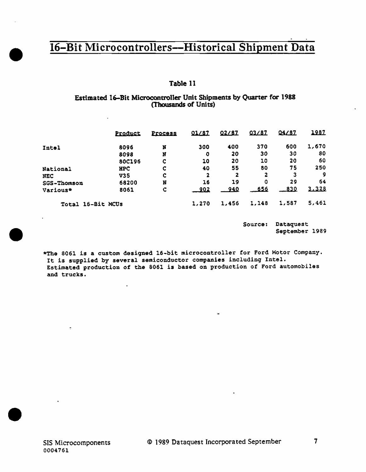### Table 11

#### Estimated 16-Bit Microcontroller Unit Shipments by Quarter for 1988 (Thousands of Units)

|                   | Product    | Process | 01/87       | 02/87      | 03/87       | 04/87 | 1987  |
|-------------------|------------|---------|-------------|------------|-------------|-------|-------|
| Intel             | 8096       | N       | 300         | 400        | 370         | 600   | 1,670 |
|                   | 8098       | N       | o           | 20         | 30          | 30    | 80    |
|                   | 80C196     | c       | 10          | 20         | 10          | 20    | 60    |
| <b>National</b>   | <b>HPC</b> | Ç       | 40          | 55         | 80          | 75    | 250   |
| <b>NEC</b>        | <b>V35</b> | ¢       | 2           | 2          | 2           | 3     | 9     |
| SGS-Thomson       | 68200      | N       | 16          | 19         | 0           | 29    | 64    |
| Various*          | 8061       | Ç       | <u>902 </u> | <u>940</u> | <u>.656</u> | 830   | 3.328 |
| Total 16-Bit MCUs |            |         | 1,270       | 1,456      | 1,148       | 1,587 | 5,461 |

Source: Dataquest September 1989

\*The 8061 is a custom designed 16-bit microcontroller for Ford Motor Company. It is supplied by several semiconductor companies including Intel. Estimated production of the 8061 is based on production of Ford automobiles and trucks.

 $\mathbf{r}$ 

i.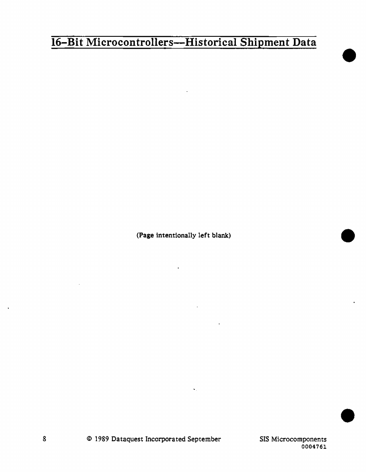(Page intentionally left blank)

 $\mathbf{u}$  .

•

•